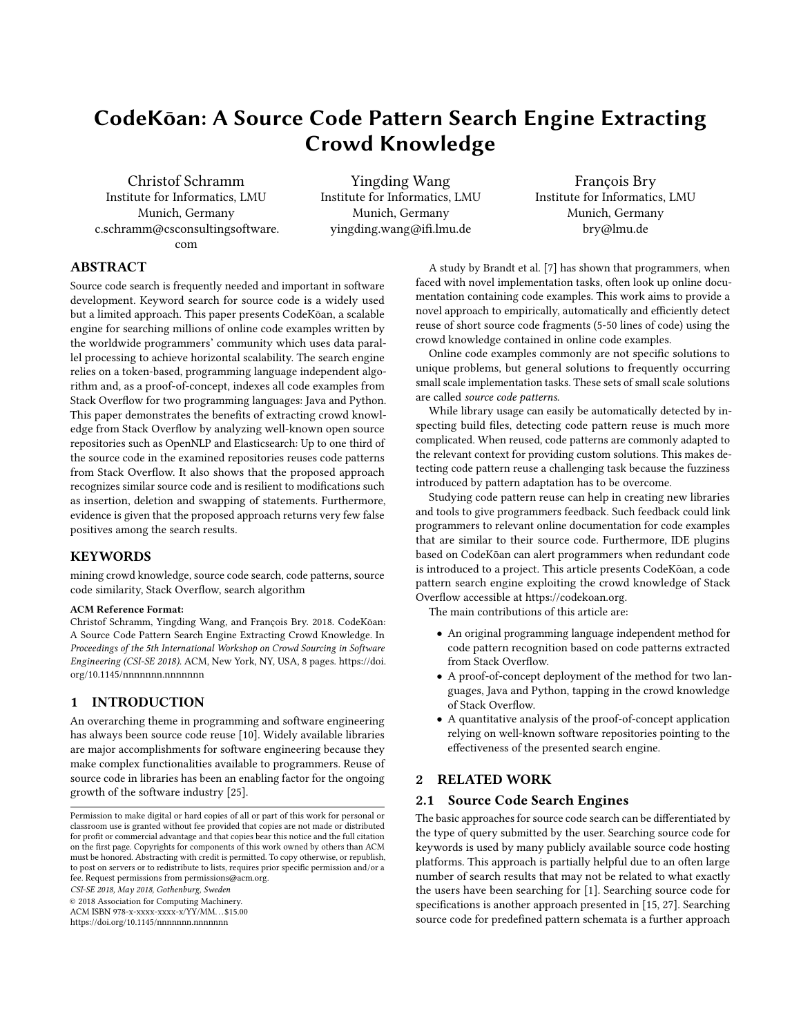# CodeKōan: A Source Code Pattern Search Engine Extracting Crowd Knowledge

Christof Schramm Institute for Informatics, LMU Munich, Germany c.schramm@csconsultingsoftware. com

Yingding Wang Institute for Informatics, LMU Munich, Germany yingding.wang@ifi.lmu.de

François Bry Institute for Informatics, LMU Munich, Germany bry@lmu.de

# ABSTRACT

Source code search is frequently needed and important in software development. Keyword search for source code is a widely used but a limited approach. This paper presents CodeKōan, a scalable engine for searching millions of online code examples written by the worldwide programmers' community which uses data parallel processing to achieve horizontal scalability. The search engine relies on a token-based, programming language independent algorithm and, as a proof-of-concept, indexes all code examples from Stack Overflow for two programming languages: Java and Python. This paper demonstrates the benefits of extracting crowd knowledge from Stack Overflow by analyzing well-known open source repositories such as OpenNLP and Elasticsearch: Up to one third of the source code in the examined repositories reuses code patterns from Stack Overflow. It also shows that the proposed approach recognizes similar source code and is resilient to modifications such as insertion, deletion and swapping of statements. Furthermore, evidence is given that the proposed approach returns very few false positives among the search results.

#### **KEYWORDS**

mining crowd knowledge, source code search, code patterns, source code similarity, Stack Overflow, search algorithm

### ACM Reference Format:

Christof Schramm, Yingding Wang, and François Bry. 2018. CodeKoan: A Source Code Pattern Search Engine Extracting Crowd Knowledge. In Proceedings of the 5th International Workshop on Crowd Sourcing in Software Engineering (CSI-SE 2018). ACM, New York, NY, USA, [8](#page-7-0) pages. [https://doi.](https://doi.org/10.1145/nnnnnnn.nnnnnnn) [org/10.1145/nnnnnnn.nnnnnnn](https://doi.org/10.1145/nnnnnnn.nnnnnnn)

# 1 INTRODUCTION

An overarching theme in programming and software engineering has always been source code reuse [\[10\]](#page-7-1). Widely available libraries are major accomplishments for software engineering because they make complex functionalities available to programmers. Reuse of source code in libraries has been an enabling factor for the ongoing growth of the software industry [\[25\]](#page-7-2).

CSI-SE 2018, May 2018, Gothenburg, Sweden

© 2018 Association for Computing Machinery.

ACM ISBN 978-x-xxxx-xxxx-x/YY/MM. . . \$15.00

<https://doi.org/10.1145/nnnnnnn.nnnnnnn>

A study by Brandt et al. [\[7\]](#page-7-3) has shown that programmers, when faced with novel implementation tasks, often look up online documentation containing code examples. This work aims to provide a novel approach to empirically, automatically and efficiently detect reuse of short source code fragments (5-50 lines of code) using the crowd knowledge contained in online code examples.

Online code examples commonly are not specific solutions to unique problems, but general solutions to frequently occurring small scale implementation tasks. These sets of small scale solutions are called source code patterns.

While library usage can easily be automatically detected by inspecting build files, detecting code pattern reuse is much more complicated. When reused, code patterns are commonly adapted to the relevant context for providing custom solutions. This makes detecting code pattern reuse a challenging task because the fuzziness introduced by pattern adaptation has to be overcome.

Studying code pattern reuse can help in creating new libraries and tools to give programmers feedback. Such feedback could link programmers to relevant online documentation for code examples that are similar to their source code. Furthermore, IDE plugins based on CodeKōan can alert programmers when redundant code is introduced to a project. This article presents CodeKoan, a code pattern search engine exploiting the crowd knowledge of Stack Overflow accessible at [https://codekoan.org.](https://codekoan.org)

The main contributions of this article are:

- An original programming language independent method for code pattern recognition based on code patterns extracted from Stack Overflow.
- A proof-of-concept deployment of the method for two languages, Java and Python, tapping in the crowd knowledge of Stack Overflow.
- A quantitative analysis of the proof-of-concept application relying on well-known software repositories pointing to the effectiveness of the presented search engine.

# <span id="page-0-0"></span>2 RELATED WORK

#### 2.1 Source Code Search Engines

The basic approaches for source code search can be differentiated by the type of query submitted by the user. Searching source code for keywords is used by many publicly available source code hosting platforms. This approach is partially helpful due to an often large number of search results that may not be related to what exactly the users have been searching for [\[1\]](#page-7-4). Searching source code for specifications is another approach presented in [\[15,](#page-7-5) [27\]](#page-7-6). Searching source code for predefined pattern schemata is a further approach

Permission to make digital or hard copies of all or part of this work for personal or classroom use is granted without fee provided that copies are not made or distributed for profit or commercial advantage and that copies bear this notice and the full citation on the first page. Copyrights for components of this work owned by others than ACM must be honored. Abstracting with credit is permitted. To copy otherwise, or republish, to post on servers or to redistribute to lists, requires prior specific permission and/or a fee. Request permissions from permissions@acm.org.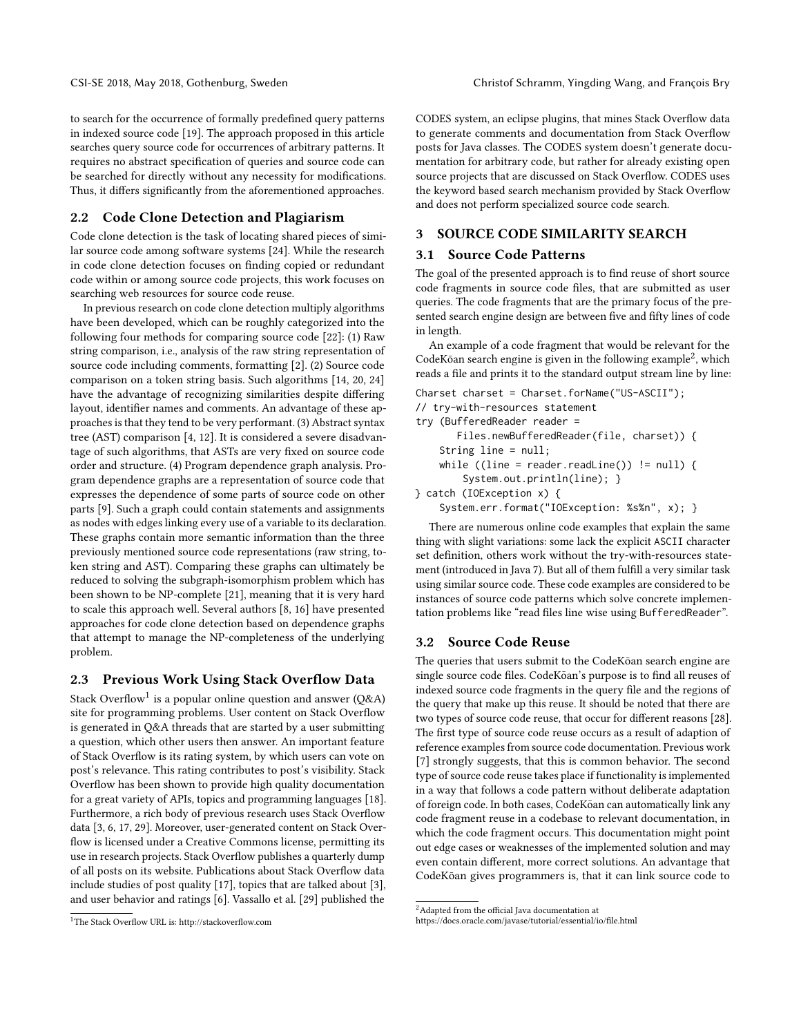to search for the occurrence of formally predefined query patterns in indexed source code [\[19\]](#page-7-7). The approach proposed in this article searches query source code for occurrences of arbitrary patterns. It requires no abstract specification of queries and source code can be searched for directly without any necessity for modifications. Thus, it differs significantly from the aforementioned approaches.

# 2.2 Code Clone Detection and Plagiarism

Code clone detection is the task of locating shared pieces of similar source code among software systems [\[24\]](#page-7-8). While the research in code clone detection focuses on finding copied or redundant code within or among source code projects, this work focuses on searching web resources for source code reuse.

In previous research on code clone detection multiply algorithms have been developed, which can be roughly categorized into the following four methods for comparing source code [\[22\]](#page-7-9): (1) Raw string comparison, i.e., analysis of the raw string representation of source code including comments, formatting [\[2\]](#page-7-10). (2) Source code comparison on a token string basis. Such algorithms [\[14,](#page-7-11) [20,](#page-7-12) [24\]](#page-7-8) have the advantage of recognizing similarities despite differing layout, identifier names and comments. An advantage of these approaches is that they tend to be very performant. (3) Abstract syntax tree (AST) comparison [\[4,](#page-7-13) [12\]](#page-7-14). It is considered a severe disadvantage of such algorithms, that ASTs are very fixed on source code order and structure. (4) Program dependence graph analysis. Program dependence graphs are a representation of source code that expresses the dependence of some parts of source code on other parts [\[9\]](#page-7-15). Such a graph could contain statements and assignments as nodes with edges linking every use of a variable to its declaration. These graphs contain more semantic information than the three previously mentioned source code representations (raw string, token string and AST). Comparing these graphs can ultimately be reduced to solving the subgraph-isomorphism problem which has been shown to be NP-complete [\[21\]](#page-7-16), meaning that it is very hard to scale this approach well. Several authors [\[8,](#page-7-17) [16\]](#page-7-18) have presented approaches for code clone detection based on dependence graphs that attempt to manage the NP-completeness of the underlying problem.

# 2.3 Previous Work Using Stack Overflow Data

Stack Overflow $^1$  $^1$  is a popular online question and answer (Q&A) site for programming problems. User content on Stack Overflow is generated in Q&A threads that are started by a user submitting a question, which other users then answer. An important feature of Stack Overflow is its rating system, by which users can vote on post's relevance. This rating contributes to post's visibility. Stack Overflow has been shown to provide high quality documentation for a great variety of APIs, topics and programming languages [\[18\]](#page-7-19). Furthermore, a rich body of previous research uses Stack Overflow data [\[3,](#page-7-20) [6,](#page-7-21) [17,](#page-7-22) [29\]](#page-7-23). Moreover, user-generated content on Stack Overflow is licensed under a Creative Commons license, permitting its use in research projects. Stack Overflow publishes a quarterly dump of all posts on its website. Publications about Stack Overflow data include studies of post quality [\[17\]](#page-7-22), topics that are talked about [\[3\]](#page-7-20), and user behavior and ratings [\[6\]](#page-7-21). Vassallo et al. [\[29\]](#page-7-23) published the

CODES system, an eclipse plugins, that mines Stack Overflow data to generate comments and documentation from Stack Overflow posts for Java classes. The CODES system doesn't generate documentation for arbitrary code, but rather for already existing open source projects that are discussed on Stack Overflow. CODES uses the keyword based search mechanism provided by Stack Overflow and does not perform specialized source code search.

# 3 SOURCE CODE SIMILARITY SEARCH

## <span id="page-1-2"></span>3.1 Source Code Patterns

The goal of the presented approach is to find reuse of short source code fragments in source code files, that are submitted as user queries. The code fragments that are the primary focus of the presented search engine design are between five and fifty lines of code in length.

An example of a code fragment that would be relevant for the CodeKōan search engine is given in the following example<sup>[2](#page-1-1)</sup>, which reads a file and prints it to the standard output stream line by line:

```
Charset charset = Charset.forName("US-ASCII");
// try-with-resources statement
try (BufferedReader reader =
       Files.newBufferedReader(file, charset)) {
    String line = null;
    while ((line = reader.readLine()) := null)System.out.println(line); }
} catch (IOException x) {
    System.err.format("IOException: %s%n", x); }
```
There are numerous online code examples that explain the same thing with slight variations: some lack the explicit ASCII character set definition, others work without the try-with-resources statement (introduced in Java 7). But all of them fulfill a very similar task using similar source code. These code examples are considered to be instances of source code patterns which solve concrete implementation problems like "read files line wise using BufferedReader".

#### 3.2 Source Code Reuse

The queries that users submit to the CodeKoan search engine are single source code files. CodeKōan's purpose is to find all reuses of indexed source code fragments in the query file and the regions of the query that make up this reuse. It should be noted that there are two types of source code reuse, that occur for different reasons [\[28\]](#page-7-24). The first type of source code reuse occurs as a result of adaption of reference examples from source code documentation. Previous work [\[7\]](#page-7-3) strongly suggests, that this is common behavior. The second type of source code reuse takes place if functionality is implemented in a way that follows a code pattern without deliberate adaptation of foreign code. In both cases, CodeKoan can automatically link any code fragment reuse in a codebase to relevant documentation, in which the code fragment occurs. This documentation might point out edge cases or weaknesses of the implemented solution and may even contain different, more correct solutions. An advantage that CodeKōan gives programmers is, that it can link source code to

<span id="page-1-0"></span><sup>1</sup>The Stack Overflow URL is: http://stackoverflow.com

<span id="page-1-1"></span> ${\rm ^2A}$  dapted from the official Java documentation at

https://docs.oracle.com/javase/tutorial/essential/io/file.html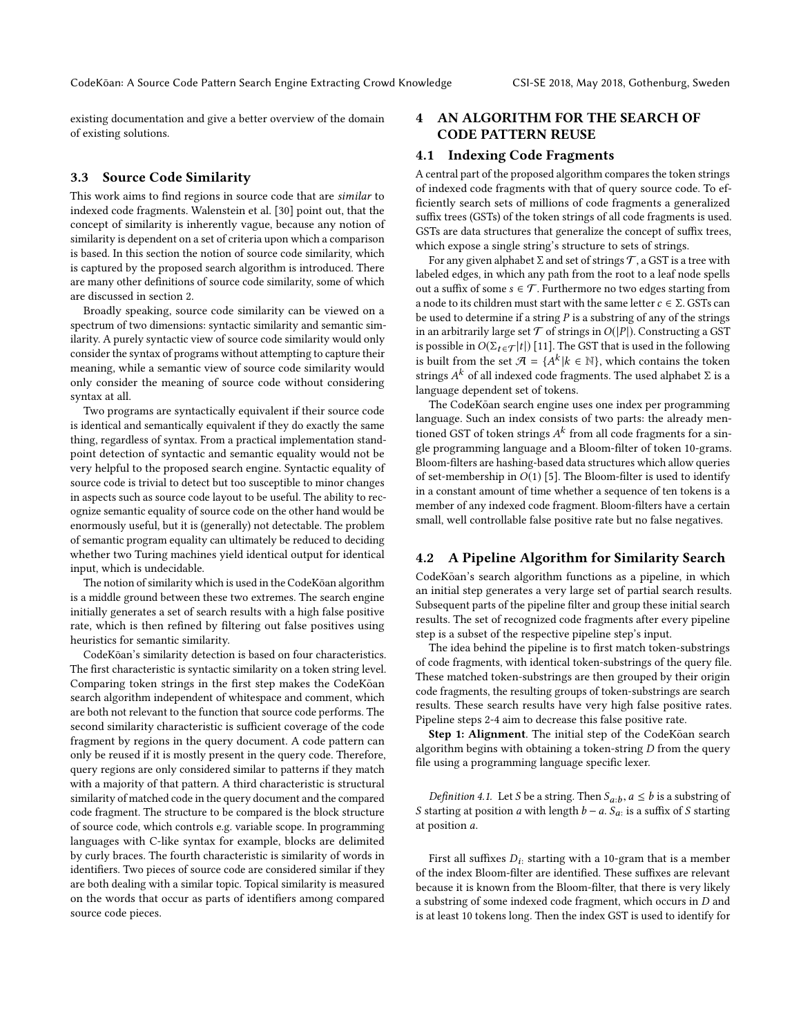existing documentation and give a better overview of the domain of existing solutions.

# <span id="page-2-0"></span>3.3 Source Code Similarity

This work aims to find regions in source code that are similar to indexed code fragments. Walenstein et al. [\[30\]](#page-7-25) point out, that the concept of similarity is inherently vague, because any notion of similarity is dependent on a set of criteria upon which a comparison is based. In this section the notion of source code similarity, which is captured by the proposed search algorithm is introduced. There are many other definitions of source code similarity, some of which are discussed in section [2.](#page-0-0)

Broadly speaking, source code similarity can be viewed on a spectrum of two dimensions: syntactic similarity and semantic similarity. A purely syntactic view of source code similarity would only consider the syntax of programs without attempting to capture their meaning, while a semantic view of source code similarity would only consider the meaning of source code without considering syntax at all.

Two programs are syntactically equivalent if their source code is identical and semantically equivalent if they do exactly the same thing, regardless of syntax. From a practical implementation standpoint detection of syntactic and semantic equality would not be very helpful to the proposed search engine. Syntactic equality of source code is trivial to detect but too susceptible to minor changes in aspects such as source code layout to be useful. The ability to recognize semantic equality of source code on the other hand would be enormously useful, but it is (generally) not detectable. The problem of semantic program equality can ultimately be reduced to deciding whether two Turing machines yield identical output for identical input, which is undecidable.

The notion of similarity which is used in the CodeKoan algorithm is a middle ground between these two extremes. The search engine initially generates a set of search results with a high false positive rate, which is then refined by filtering out false positives using heuristics for semantic similarity.

CodeKōan's similarity detection is based on four characteristics. The first characteristic is syntactic similarity on a token string level. Comparing token strings in the first step makes the CodeKoan search algorithm independent of whitespace and comment, which are both not relevant to the function that source code performs. The second similarity characteristic is sufficient coverage of the code fragment by regions in the query document. A code pattern can only be reused if it is mostly present in the query code. Therefore, query regions are only considered similar to patterns if they match with a majority of that pattern. A third characteristic is structural similarity of matched code in the query document and the compared code fragment. The structure to be compared is the block structure of source code, which controls e.g. variable scope. In programming languages with C-like syntax for example, blocks are delimited by curly braces. The fourth characteristic is similarity of words in identifiers. Two pieces of source code are considered similar if they are both dealing with a similar topic. Topical similarity is measured on the words that occur as parts of identifiers among compared source code pieces.

# 4 AN ALGORITHM FOR THE SEARCH OF CODE PATTERN REUSE

# 4.1 Indexing Code Fragments

A central part of the proposed algorithm compares the token strings of indexed code fragments with that of query source code. To efficiently search sets of millions of code fragments a generalized suffix trees (GSTs) of the token strings of all code fragments is used. GSTs are data structures that generalize the concept of suffix trees, which expose a single string's structure to sets of strings.

For any given alphabet  $\Sigma$  and set of strings  $\mathcal T$ , a GST is a tree with labeled edges, in which any path from the root to a leaf node spells out a suffix of some  $s \in \mathcal{T}$ . Furthermore no two edges starting from a node to its children must start with the same letter  $c \in \Sigma$ . GSTs can be used to determine if a string  $P$  is a substring of any of the strings in an arbitrarily large set  $T$  of strings in  $O(|P|)$ . Constructing a GST is possible in  $O(\Sigma_{t \in \mathcal{T}} |t|)$  [\[11\]](#page-7-26). The GST that is used in the following is built from the set  $\mathcal{A} = \{A^k | k \in \mathbb{N}\}$ , which contains the token<br>etrings  $A^k$  of all indexed and fragments. The used alphabet  $\Sigma$  is a strings  $A^k$  of all indexed code fragments. The used alphabet Σ is a<br>language dependent set of tokens language dependent set of tokens.

The CodeKōan search engine uses one index per programming language. Such an index consists of two parts: the already mentioned GST of token strings  $A^k$  from all code fragments for a sin-<br>gle programming language and a Bloom-filter of token 10-grams. gle programming language and a Bloom-filter of token 10-grams. Bloom-filters are hashing-based data structures which allow queries of set-membership in  $O(1)$  [\[5\]](#page-7-27). The Bloom-filter is used to identify in a constant amount of time whether a sequence of ten tokens is a member of any indexed code fragment. Bloom-filters have a certain small, well controllable false positive rate but no false negatives.

#### 4.2 A Pipeline Algorithm for Similarity Search

CodeKōan's search algorithm functions as a pipeline, in which an initial step generates a very large set of partial search results. Subsequent parts of the pipeline filter and group these initial search results. The set of recognized code fragments after every pipeline step is a subset of the respective pipeline step's input.

The idea behind the pipeline is to first match token-substrings of code fragments, with identical token-substrings of the query file. These matched token-substrings are then grouped by their origin code fragments, the resulting groups of token-substrings are search results. These search results have very high false positive rates. Pipeline steps 2-4 aim to decrease this false positive rate.

Step 1: Alignment. The initial step of the CodeKoan search algorithm begins with obtaining a token-string  $D$  from the query file using a programming language specific lexer.

Definition 4.1. Let S be a string. Then  $S_{a:b}$ ,  $a \le b$  is a substring of  $\zeta$  terms at position a with length  $b - a$ ,  $\zeta$  is a suffix of  $\zeta$  starting S starting at position *a* with length  $b - a$ .  $S_{a}$ : is a suffix of S starting at position *a* at position a.

First all suffixes  $D_i$ : starting with a 10-gram that is a member of the index Bloom-filter are identified. These suffixes are relevant because it is known from the Bloom-filter, that there is very likely a substring of some indexed code fragment, which occurs in D and is at least 10 tokens long. Then the index GST is used to identify for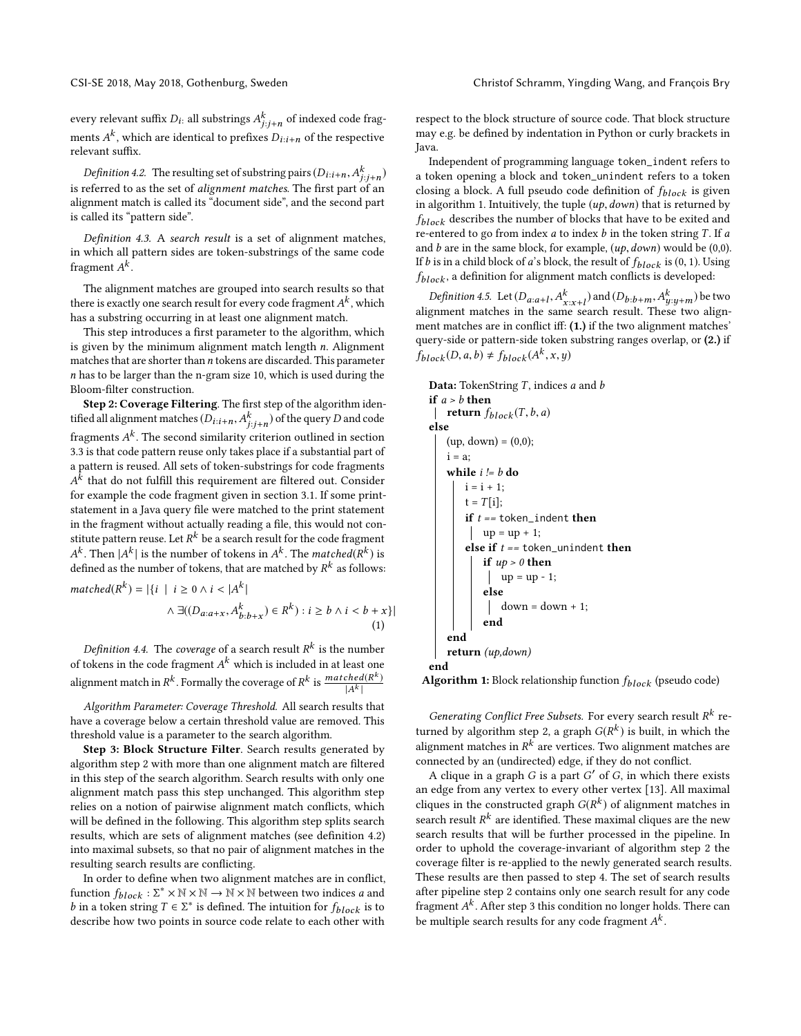every relevant suffix  $D_i$ : all substrings  $A_{j:j+n}^k$  of indexed code frag-<br>weath  $A_k^k$  subjects as identical to an frage  $D_i$  such the secondition ments  $A^k$ , which are identical to prefixes  $D_{i:i+n}$  of the respective<br>relevant suffix relevant suffix.

<span id="page-3-0"></span>Definition 4.2. The resulting set of substring pairs  $(D_{i:i+n}, A_{j:j+n}^k)$ *Definition* 4.2. The resulting set of substring pairs  $(D_{1:1+n}, A_{j:j+n}$ , is referred to as the set of *alignment matches*. The first part of an alignment match is called its "document side", and the second part is called its "pattern side".

<span id="page-3-2"></span>Definition 4.3. A search result is a set of alignment matches, in which all pattern sides are token-substrings of the same code fragment  $A^k$ .

The alignment matches are grouped into search results so that there is exactly one search result for every code fragment  $A^k$ , which<br>has a substring occurring in at least one alignment match has a substring occurring in at least one alignment match.

This step introduces a first parameter to the algorithm, which is given by the minimum alignment match length  $n$ . Alignment matches that are shorter than  $n$  tokens are discarded. This parameter  $n$  has to be larger than the n-gram size 10, which is used during the Bloom-filter construction.

Step 2: Coverage Filtering. The first step of the algorithm identified all alignment matches  $(D_{i:i+n}, A_{j:j+n}^k)$  of the query D and code<br>for grounds,  $A^k$ . The ground similarity with size antibod in groting fragments  $A^k$ . The second similarity criterion outlined in section<br>3.3 is that code pattern reuse only takes place if a substantial part of [3.3](#page-2-0) is that code pattern reuse only takes place if a substantial part of a pattern is reused. All sets of token-substrings for code fragments for example the code fragment given in section [3.1.](#page-1-2) If some print $k$  that do not fulfill this requirement are filtered out. Consider statement in a Java query file were matched to the print statement in the fragment without actually reading a file, this would not constitute pattern reuse. Let  $R^k$  be a search result for the code fragment  $A^k$ . Then  $A^k$  is the number of tokens in  $A^k$ . The matched( $B^k$ ) is defined as the number of tokens, that are matched by  $R^k$  as follows: k. Then  $|A^k|$  is the number of tokens in  $A^k$ . The *matched*( $R^k$ ) is follows:

$$
matched(Rk) = |\{i \mid i \ge 0 \land i < |Ak|
$$

$$
\land \exists ((D_{a:a+x}, A_{b:b+x}^k) \in Rk) : i \ge b \land i < b + x\}|
$$

$$
(1)
$$

Definition 4.4. The coverage of a search result  $R^k$  is the number<br>takens in the eads fragment  $A^k$  which is included in at least and of tokens in the code fragment  $A^k$  which is included in at least one<br> alignment match in  $R^k$ . Formally the coverage of  $R^k$  is  $\frac{matched(R^k)}{|A^k|}$  $|A^k|$ 

Algorithm Parameter: Coverage Threshold. All search results that have a coverage below a certain threshold value are removed. This threshold value is a parameter to the search algorithm.

Step 3: Block Structure Filter. Search results generated by algorithm step 2 with more than one alignment match are filtered in this step of the search algorithm. Search results with only one alignment match pass this step unchanged. This algorithm step relies on a notion of pairwise alignment match conflicts, which will be defined in the following. This algorithm step splits search results, which are sets of alignment matches (see definition [4.2\)](#page-3-0) into maximal subsets, so that no pair of alignment matches in the resulting search results are conflicting.

In order to define when two alignment matches are in conflict, function  $f_{block}: \Sigma^* \times \mathbb{N} \times \mathbb{N} \to \mathbb{N} \times \mathbb{N}$  between two indices a and h in a token string  $T \in \Sigma^*$  is defined. The intuition for  $f_{i,j}$ , is to *b* in a token string  $T \in \Sigma^*$  is defined. The intuition for  $f_{block}$  is to describe how two points in source code relate to each other with describe how two points in source code relate to each other with

respect to the block structure of source code. That block structure may e.g. be defined by indentation in Python or curly brackets in Java.

Independent of programming language token\_indent refers to a token opening a block and token\_unindent refers to a token closing a block. A full pseudo code definition of  $f_{block}$  is given in algorithm [1.](#page-3-1) Intuitively, the tuple  $(up, down)$  that is returned by  $f_{block}$  describes the number of blocks that have to be exited and re-entered to go from index  $a$  to index  $b$  in the token string  $T$ . If  $a$ and b are in the same block, for example,  $(up, down)$  would be  $(0,0)$ . If  $b$  is in a child block of  $a$  's block, the result of  $f_{block}$  is  $(0,1).$  Using  $f_{block}$ , a definition for alignment match conflicts is developed:

*Definition* 4.5. Let  $(D_{a:a+l}, A_{x:x+l}^k)$  and  $(D_{b:b+m}, A_{y:y+m}^k)$  be two alignment matches in the same search result. These two alignment matches are in conflict iff: (1.) if the two alignment matches' query-side or pattern-side token substring ranges overlap, or (2.) if  $f_{block}(D, a, b) \neq f_{block}(A^k, x, y)$ 

Data: TokenString  $T$ , indices  $a$  and  $b$ if  $a > b$  then **return**  $f_{block}(T,b,a)$ else  $(up, down) = (0,0);$  $i = a$ : while  $i := b$  do  $i = i + 1;$  $t = T[i];$ if  $t =$  token\_indent then  $up = up + 1;$ else if  $t =$  token\_unindent then if  $up > 0$  then  $\ln \text{up} = \text{up} - 1;$ else  $down = down + 1;$ end end return (up,down) end

<span id="page-3-1"></span>**Algorithm 1:** Block relationship function  $f_{block}$  (pseudo code)

Generating Conflict Free Subsets. For every search result  $R^k$  re-<br>rod by elsorithm stap 2, a graph  $G(P^k)$  is built in which the turned by algorithm step 2, a graph  $G(R^k)$  is built, in which the alignment matches in  $R^k$  are vertices. Two alignment matches are alignment matches in  $R^k$  are vertices. Two alignment matches are<br>connected by an (undirected) edge if they do not conflict connected by an (undirected) edge, if they do not conflict.

A clique in a graph G is a part  $G'$  of G, in which there exists<br>edge from any vertex to every other vertex [13] All maximal an edge from any vertex to every other vertex [\[13\]](#page-7-28). All maximal cliques in the constructed graph  $G(R^k)$  of alignment matches in<br>search result  $R^k$  are identified. These mayimal cliques are the new search result  $R^k$  are identified. These maximal cliques are the new<br>search results that will be further processed in the pineline. In search results that will be further processed in the pipeline. In order to uphold the coverage-invariant of algorithm step 2 the coverage filter is re-applied to the newly generated search results. These results are then passed to step 4. The set of search results after pipeline step 2 contains only one search result for any code fragment  $A^k$ . After step 3 this condition no longer holds. There can<br>be multiple search results for any code fragment  $A^k$ be multiple search results for any code fragment  $A^k$ .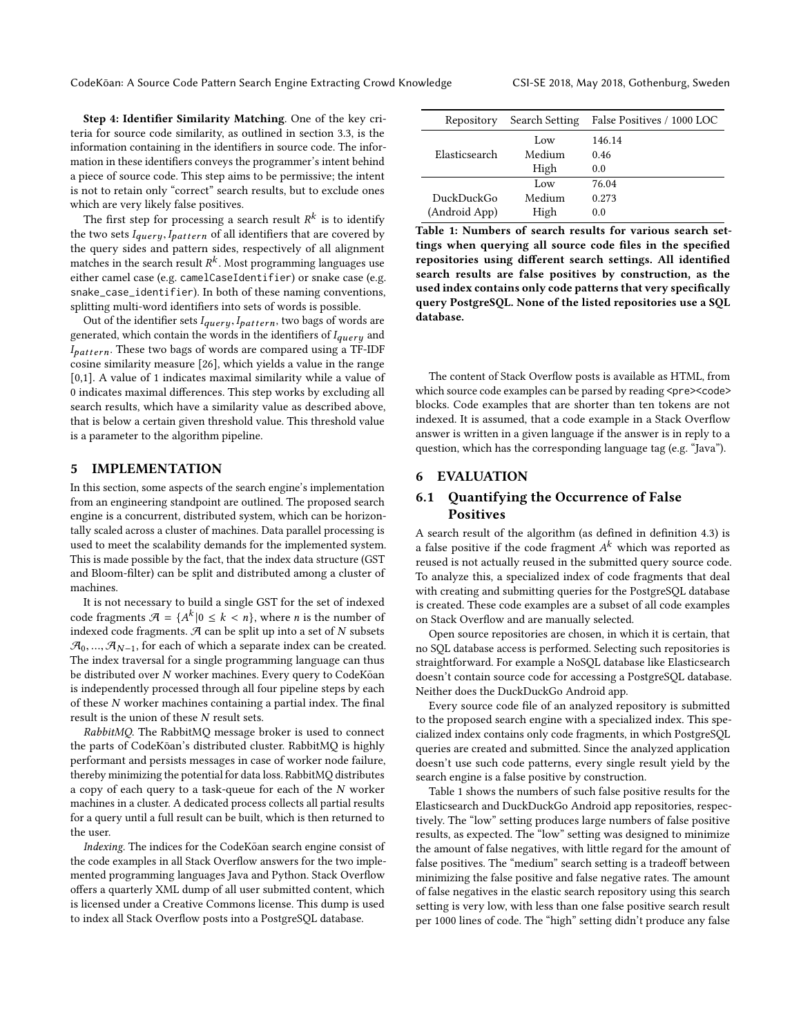Step 4: Identifier Similarity Matching. One of the key criteria for source code similarity, as outlined in section [3.3,](#page-2-0) is the information containing in the identifiers in source code. The information in these identifiers conveys the programmer's intent behind a piece of source code. This step aims to be permissive; the intent is not to retain only "correct" search results, but to exclude ones which are very likely false positives.

The first step for processing a search result  $R^k$  is to identify<br>the two sets  $I = \begin{bmatrix} 1 & \cdots & 0 \\ 0 & 0 & \cdots & 0 \end{bmatrix}$  identifiers that are covered by the two sets  $I_{query}, I_{pattern}$  of all identifiers that are covered by the query sides and pattern sides, respectively of all alignment matches in the search result  $R^k$ . Most programming languages use<br>either camel case (e.g. camel CaseJdenti fier) or spake case (e.g. either camel case (e.g. camelCaseIdentifier) or snake case (e.g. snake\_case\_identifier). In both of these naming conventions, splitting multi-word identifiers into sets of words is possible.

Out of the identifier sets  $I_{query}, I_{pattern}$ , two bags of words are generated, which contain the words in the identifiers of  $I_{query}$  and  $I<sub>pattern</sub>$ . These two bags of words are compared using a TF-IDF cosine similarity measure [\[26\]](#page-7-29), which yields a value in the range [0,1]. A value of 1 indicates maximal similarity while a value of 0 indicates maximal differences. This step works by excluding all search results, which have a similarity value as described above, that is below a certain given threshold value. This threshold value is a parameter to the algorithm pipeline.

# 5 IMPLEMENTATION

In this section, some aspects of the search engine's implementation from an engineering standpoint are outlined. The proposed search engine is a concurrent, distributed system, which can be horizontally scaled across a cluster of machines. Data parallel processing is used to meet the scalability demands for the implemented system. This is made possible by the fact, that the index data structure (GST and Bloom-filter) can be split and distributed among a cluster of machines.

It is not necessary to build a single GST for the set of indexed code fragments  $\mathcal{A} = \{A^k | 0 \le k < n\}$ , where *n* is the number of indexed code fragments  $\mathcal{A}$  can be split up into a set of *N* subsets indexed code fragments.  $A$  can be split up into a set of  $N$  subsets  $\mathcal{A}_0$ , ...,  $\mathcal{A}_{N-1}$ , for each of which a separate index can be created. The index traversal for a single programming language can thus be distributed over  $N$  worker machines. Every query to CodeKoan is independently processed through all four pipeline steps by each of these N worker machines containing a partial index. The final result is the union of these N result sets.

RabbitMQ. The RabbitMQ message broker is used to connect the parts of CodeKōan's distributed cluster. RabbitMQ is highly performant and persists messages in case of worker node failure, thereby minimizing the potential for data loss. RabbitMQ distributes a copy of each query to a task-queue for each of the N worker machines in a cluster. A dedicated process collects all partial results for a query until a full result can be built, which is then returned to the user.

Indexing. The indices for the CodeKoan search engine consist of the code examples in all Stack Overflow answers for the two implemented programming languages Java and Python. Stack Overflow offers a quarterly XML dump of all user submitted content, which is licensed under a Creative Commons license. This dump is used to index all Stack Overflow posts into a PostgreSQL database.

<span id="page-4-0"></span>

| Repository           | Search Setting | False Positives / 1000 LOC |
|----------------------|----------------|----------------------------|
|                      | Low            | 146.14                     |
| Elasticsearch        | Medium         | 0.46                       |
|                      | High           | 0.0                        |
|                      | Low            | 76.04                      |
| Medium<br>DuckDuckGo |                | 0.273                      |
| (Android App)        | High           | 0.0                        |

Table 1: Numbers of search results for various search settings when querying all source code files in the specified repositories using different search settings. All identified search results are false positives by construction, as the used index contains only code patterns that very specifically query PostgreSQL. None of the listed repositories use a SQL database.

The content of Stack Overflow posts is available as HTML, from which source code examples can be parsed by reading <pre><code></code> blocks. Code examples that are shorter than ten tokens are not indexed. It is assumed, that a code example in a Stack Overflow answer is written in a given language if the answer is in reply to a question, which has the corresponding language tag (e.g. "Java").

# 6 EVALUATION

# 6.1 Quantifying the Occurrence of False **Positives**

A search result of the algorithm (as defined in definition [4.3\)](#page-3-2) is a false positive if the code fragment  $A<sup>k</sup>$  which was reported as<br>reused is not actually reused in the submitted query source code reused is not actually reused in the submitted query source code. To analyze this, a specialized index of code fragments that deal with creating and submitting queries for the PostgreSQL database is created. These code examples are a subset of all code examples on Stack Overflow and are manually selected.

Open source repositories are chosen, in which it is certain, that no SQL database access is performed. Selecting such repositories is straightforward. For example a NoSQL database like Elasticsearch doesn't contain source code for accessing a PostgreSQL database. Neither does the DuckDuckGo Android app.

Every source code file of an analyzed repository is submitted to the proposed search engine with a specialized index. This specialized index contains only code fragments, in which PostgreSQL queries are created and submitted. Since the analyzed application doesn't use such code patterns, every single result yield by the search engine is a false positive by construction.

Table [1](#page-4-0) shows the numbers of such false positive results for the Elasticsearch and DuckDuckGo Android app repositories, respectively. The "low" setting produces large numbers of false positive results, as expected. The "low" setting was designed to minimize the amount of false negatives, with little regard for the amount of false positives. The "medium" search setting is a tradeoff between minimizing the false positive and false negative rates. The amount of false negatives in the elastic search repository using this search setting is very low, with less than one false positive search result per 1000 lines of code. The "high" setting didn't produce any false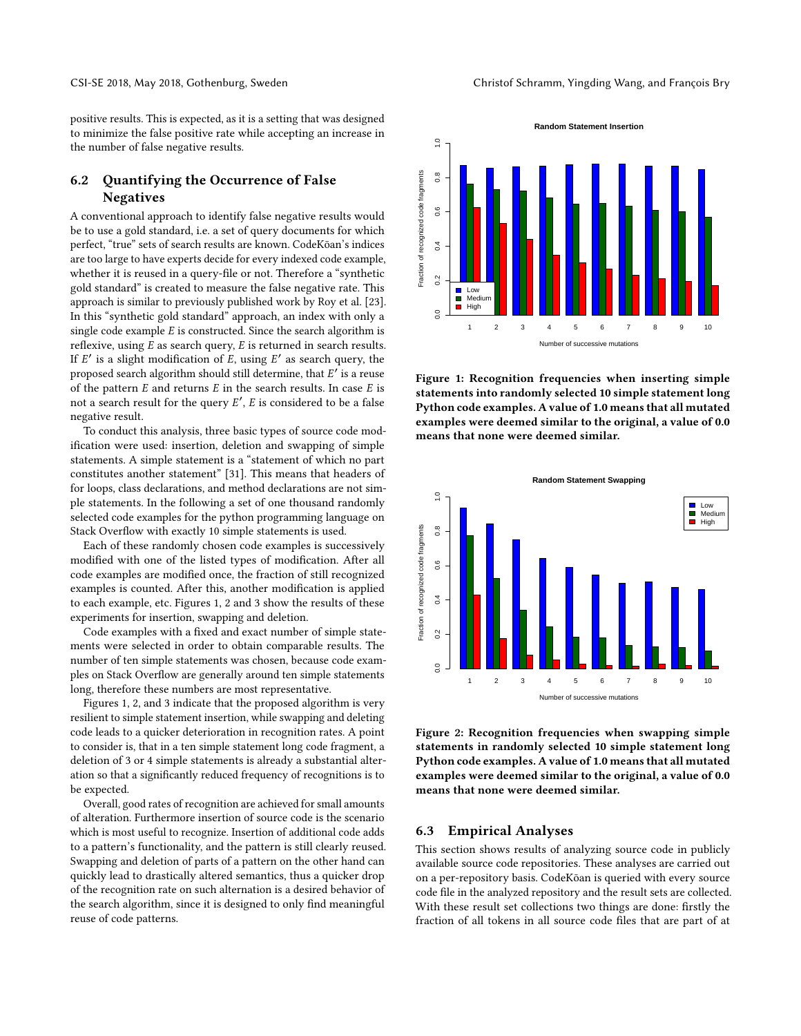positive results. This is expected, as it is a setting that was designed to minimize the false positive rate while accepting an increase in the number of false negative results.

# 6.2 Quantifying the Occurrence of False Negatives

A conventional approach to identify false negative results would be to use a gold standard, i.e. a set of query documents for which perfect, "true" sets of search results are known. CodeKoan's indices are too large to have experts decide for every indexed code example, whether it is reused in a query-file or not. Therefore a "synthetic gold standard" is created to measure the false negative rate. This approach is similar to previously published work by Roy et al. [\[23\]](#page-7-30). In this "synthetic gold standard" approach, an index with only a single code example  $E$  is constructed. Since the search algorithm is reflexive, using  $E$  as search query,  $E$  is returned in search results. If  $E'$  is a slight modification of  $E$ , using  $E'$  as search query, the proposed search algorithm should still determine, that  $E'$  is a reuse of the pattern  $E$  and returns  $E$  in the search results. In case  $E$  is of the pattern  $E$  and returns  $E$  in the search results. In case  $E$  is not a search result for the query  $E'$ ,  $E$  is considered to be a false<br>negative result negative result.

To conduct this analysis, three basic types of source code modification were used: insertion, deletion and swapping of simple statements. A simple statement is a "statement of which no part constitutes another statement" [\[31\]](#page-7-31). This means that headers of for loops, class declarations, and method declarations are not simple statements. In the following a set of one thousand randomly selected code examples for the python programming language on Stack Overflow with exactly 10 simple statements is used.

Each of these randomly chosen code examples is successively modified with one of the listed types of modification. After all code examples are modified once, the fraction of still recognized examples is counted. After this, another modification is applied to each example, etc. Figures [1,](#page-5-0) [2](#page-5-1) and [3](#page-6-0) show the results of these experiments for insertion, swapping and deletion.

Code examples with a fixed and exact number of simple statements were selected in order to obtain comparable results. The number of ten simple statements was chosen, because code examples on Stack Overflow are generally around ten simple statements long, therefore these numbers are most representative.

Figures [1,](#page-5-0) [2,](#page-5-1) and [3](#page-6-0) indicate that the proposed algorithm is very resilient to simple statement insertion, while swapping and deleting code leads to a quicker deterioration in recognition rates. A point to consider is, that in a ten simple statement long code fragment, a deletion of 3 or 4 simple statements is already a substantial alteration so that a significantly reduced frequency of recognitions is to be expected.

Overall, good rates of recognition are achieved for small amounts of alteration. Furthermore insertion of source code is the scenario which is most useful to recognize. Insertion of additional code adds to a pattern's functionality, and the pattern is still clearly reused. Swapping and deletion of parts of a pattern on the other hand can quickly lead to drastically altered semantics, thus a quicker drop of the recognition rate on such alternation is a desired behavior of the search algorithm, since it is designed to only find meaningful reuse of code patterns.

<span id="page-5-0"></span>

Figure 1: Recognition frequencies when inserting simple statements into randomly selected 10 simple statement long Python code examples. A value of 1.0 means that all mutated examples were deemed similar to the original, a value of 0.0 means that none were deemed similar.

<span id="page-5-1"></span>

Figure 2: Recognition frequencies when swapping simple statements in randomly selected 10 simple statement long Python code examples. A value of 1.0 means that all mutated examples were deemed similar to the original, a value of 0.0 means that none were deemed similar.

# 6.3 Empirical Analyses

This section shows results of analyzing source code in publicly available source code repositories. These analyses are carried out on a per-repository basis. CodeKoan is queried with every source code file in the analyzed repository and the result sets are collected. With these result set collections two things are done: firstly the fraction of all tokens in all source code files that are part of at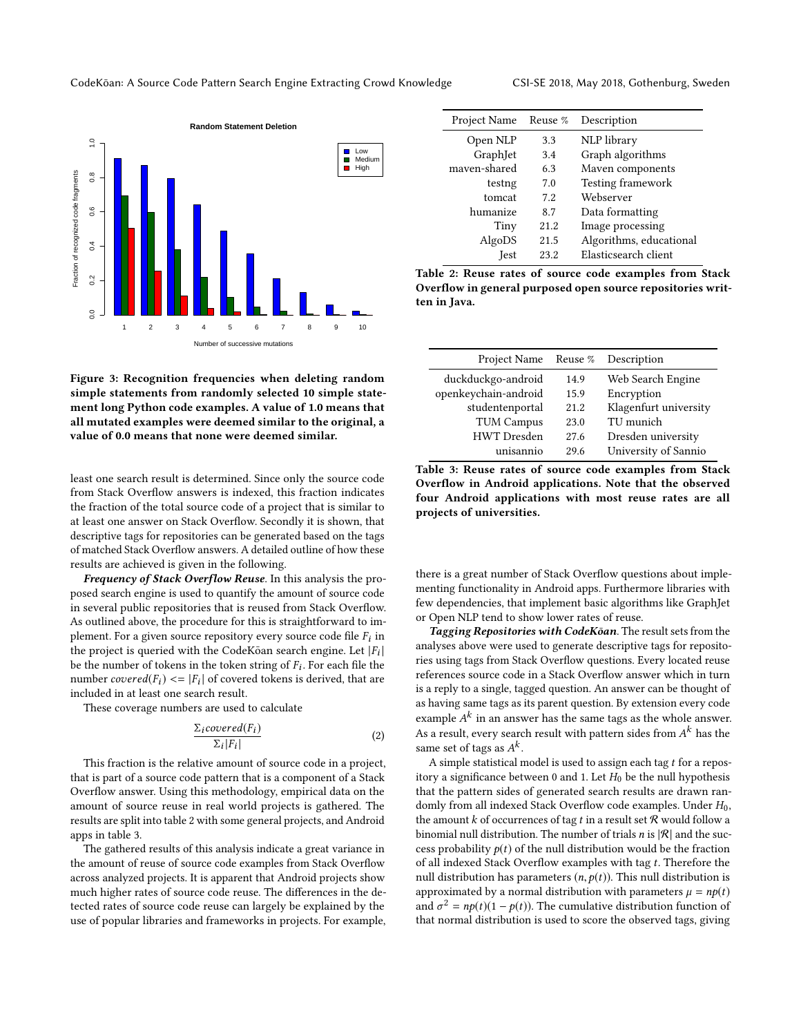<span id="page-6-0"></span>

Figure 3: Recognition frequencies when deleting random simple statements from randomly selected 10 simple statement long Python code examples. A value of 1.0 means that all mutated examples were deemed similar to the original, a value of 0.0 means that none were deemed similar.

least one search result is determined. Since only the source code from Stack Overflow answers is indexed, this fraction indicates the fraction of the total source code of a project that is similar to at least one answer on Stack Overflow. Secondly it is shown, that descriptive tags for repositories can be generated based on the tags of matched Stack Overflow answers. A detailed outline of how these results are achieved is given in the following.

Frequency of Stack Overflow Reuse. In this analysis the proposed search engine is used to quantify the amount of source code in several public repositories that is reused from Stack Overflow. As outlined above, the procedure for this is straightforward to implement. For a given source repository every source code file  $F_i$  in<br>the project is queried with the CodeKoan search engine. Let  $|F_i|$ the project is queried with the CodeKōan search engine. Let  $|F_i|$ | be the number of tokens in the token string of  $F_i$ . For each file the number cavared( $F_i$ )  $\leq$  -  $|F_i|$  of covered tokens is derived, that are number *covered*( $F_i$ ) <=  $|F_i|$  of covered tokens is derived, that are included in at least one search result included in at least one search result.

These coverage numbers are used to calculate

$$
\frac{\Sigma_i covered(F_i)}{\Sigma_i|F_i|} \tag{2}
$$

Σi This fraction is the relative amount of source code in a project, that is part of a source code pattern that is a component of a Stack Overflow answer. Using this methodology, empirical data on the amount of source reuse in real world projects is gathered. The results are split into table [2](#page-6-1) with some general projects, and Android apps in table [3.](#page-6-2)

The gathered results of this analysis indicate a great variance in the amount of reuse of source code examples from Stack Overflow across analyzed projects. It is apparent that Android projects show much higher rates of source code reuse. The differences in the detected rates of source code reuse can largely be explained by the use of popular libraries and frameworks in projects. For example,

<span id="page-6-1"></span>

| Project Name | Reuse % | Description              |
|--------------|---------|--------------------------|
| Open NLP     | 3.3     | NLP library              |
| GraphJet     | 3.4     | Graph algorithms         |
| maven-shared | 6.3     | Maven components         |
| testng       | 7.0     | <b>Testing framework</b> |
| tomcat       | 7.2     | Webserver                |
| humanize     | 8.7     | Data formatting          |
| Tiny         | 21.2    | Image processing         |
| AlgoDS       | 21.5    | Algorithms, educational  |
| <b>Jest</b>  | 23.2    | Elasticsearch client     |

Table 2: Reuse rates of source code examples from Stack Overflow in general purposed open source repositories written in Java.

<span id="page-6-2"></span>

| Project Name         |      | Reuse % Description   |
|----------------------|------|-----------------------|
| duckduckgo-android   | 14.9 | Web Search Engine     |
| openkeychain-android | 15.9 | Encryption            |
| studentenportal      | 21.2 | Klagenfurt university |
| <b>TUM Campus</b>    | 23.0 | TU munich             |
| <b>HWT</b> Dresden   | 27.6 | Dresden university    |
| unisannio            | 29.6 | University of Sannio  |

Table 3: Reuse rates of source code examples from Stack Overflow in Android applications. Note that the observed four Android applications with most reuse rates are all projects of universities.

there is a great number of Stack Overflow questions about implementing functionality in Android apps. Furthermore libraries with few dependencies, that implement basic algorithms like GraphJet or Open NLP tend to show lower rates of reuse.

Tagging Repositories with CodeKoan. The result sets from the analyses above were used to generate descriptive tags for repositories using tags from Stack Overflow questions. Every located reuse references source code in a Stack Overflow answer which in turn is a reply to a single, tagged question. An answer can be thought of as having same tags as its parent question. By extension every code example  $A^k$  in an answer has the same tags as the whole answer. As a result, every search result with pattern sides from  $A^k$  has the same set of tags as  $A^k$ same set of tags as  $A^k$ .<br>A simple statistical r

A simple statistical model is used to assign each tag  $t$  for a repository a significance between 0 and 1. Let  $H_0$  be the null hypothesis that the pattern sides of generated search results are drawn randomly from all indexed Stack Overflow code examples. Under  $H_0$ , the amount  $k$  of occurrences of tag  $t$  in a result set  $R$  would follow a binomial null distribution. The number of trials  $n$  is  $|R|$  and the success probability  $p(t)$  of the null distribution would be the fraction of all indexed Stack Overflow examples with tag t. Therefore the null distribution has parameters  $(n, p(t))$ . This null distribution is approximated by a normal distribution with parameters  $\mu = np(t)$ and  $\sigma^2 = np(t)(1 - p(t))$ . The cumulative distribution function of that normal distribution is used to score the observed tags, giving that normal distribution is used to score the observed tags, giving